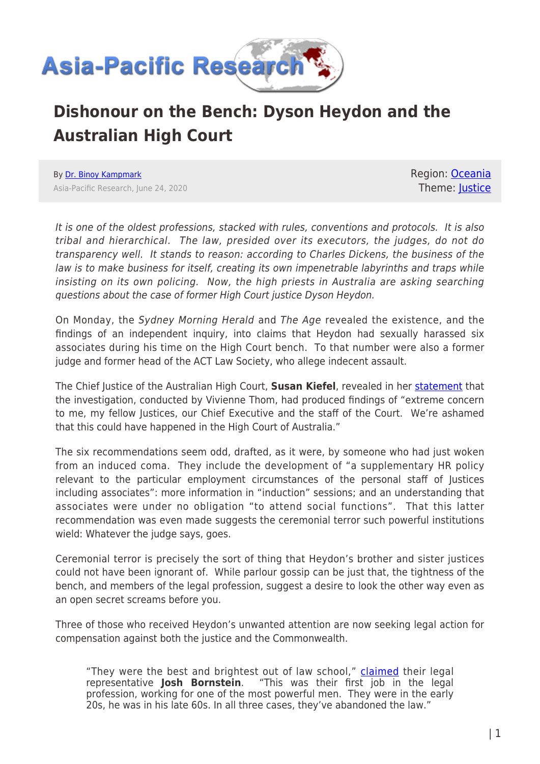

## **Dishonour on the Bench: Dyson Heydon and the Australian High Court**

By [Dr. Binoy Kampmark](https://www.asia-pacificresearch.com/author/binoy-kampmark) Asia-Pacific Research, June 24, 2020 Region: [Oceania](https://www.asia-pacificresearch.com/region/as-oceania) Theme: [Justice](https://www.asia-pacificresearch.com/theme/justice-2)

It is one of the oldest professions, stacked with rules, conventions and protocols. It is also tribal and hierarchical. The law, presided over its executors, the judges, do not do transparency well. It stands to reason: according to Charles Dickens, the business of the law is to make business for itself, creating its own impenetrable labyrinths and traps while insisting on its own policing. Now, the high priests in Australia are asking searching questions about the case of former High Court justice Dyson Heydon.

On Monday, the Sydney Morning Herald and The Age revealed the existence, and the findings of an independent inquiry, into claims that Heydon had sexually harassed six associates during his time on the High Court bench. To that number were also a former judge and former head of the ACT Law Society, who allege indecent assault.

The Chief Justice of the Australian High Court, **Susan Kiefel**, revealed in her [statement](https://cdn.hcourt.gov.au/assets/news/Statement%20by%20Chief%20Justice%20Susan%20Kiefel%20AC.pdf) that the investigation, conducted by Vivienne Thom, had produced findings of "extreme concern to me, my fellow Justices, our Chief Executive and the staff of the Court. We're ashamed that this could have happened in the High Court of Australia."

The six recommendations seem odd, drafted, as it were, by someone who had just woken from an induced coma. They include the development of "a supplementary HR policy relevant to the particular employment circumstances of the personal staff of Justices including associates": more information in "induction" sessions; and an understanding that associates were under no obligation "to attend social functions". That this latter recommendation was even made suggests the ceremonial terror such powerful institutions wield: Whatever the judge says, goes.

Ceremonial terror is precisely the sort of thing that Heydon's brother and sister justices could not have been ignorant of. While parlour gossip can be just that, the tightness of the bench, and members of the legal profession, suggest a desire to look the other way even as an open secret screams before you.

Three of those who received Heydon's unwanted attention are now seeking legal action for compensation against both the justice and the Commonwealth.

"They were the best and brightest out of law school," [claimed](https://www.abc.net.au/news/2020-06-23/dyson-heydon-sexual-harassment-complainants-seek-compensation/12383978) their legal representative **Josh Bornstein**. "This was their first job in the legal profession, working for one of the most powerful men. They were in the early 20s, he was in his late 60s. In all three cases, they've abandoned the law."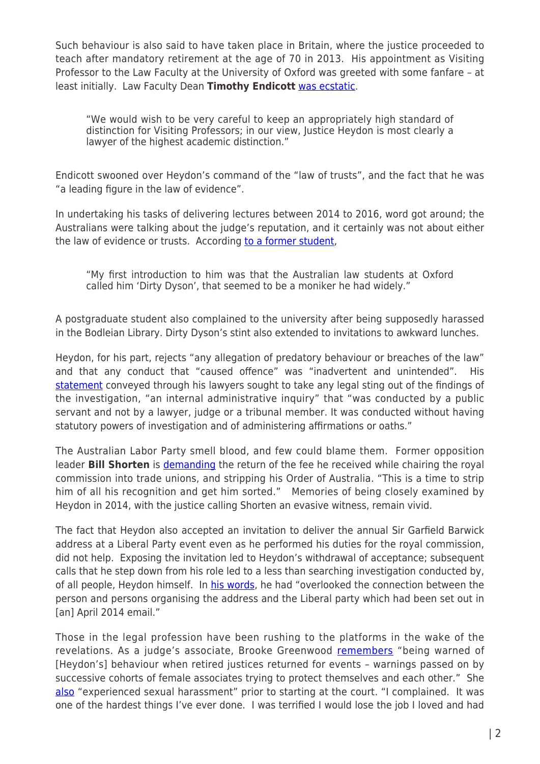Such behaviour is also said to have taken place in Britain, where the justice proceeded to teach after mandatory retirement at the age of 70 in 2013. His appointment as Visiting Professor to the Law Faculty at the University of Oxford was greeted with some fanfare – at least initially. Law Faculty Dean **Timothy Endicott** [was ecstatic.](https://www.smh.com.au/politics/federal/dirty-dyson-former-judge-heydon-s-nickname-at-oxford-amid-fresh-harassment-claims-20200623-p555df.html)

"We would wish to be very careful to keep an appropriately high standard of distinction for Visiting Professors; in our view, Justice Heydon is most clearly a lawyer of the highest academic distinction."

Endicott swooned over Heydon's command of the "law of trusts", and the fact that he was "a leading figure in the law of evidence".

In undertaking his tasks of delivering lectures between 2014 to 2016, word got around; the Australians were talking about the judge's reputation, and it certainly was not about either the law of evidence or trusts. According [to a former student,](https://www.smh.com.au/politics/federal/dirty-dyson-former-judge-heydon-s-nickname-at-oxford-amid-fresh-harassment-claims-20200623-p555df.html)

"My first introduction to him was that the Australian law students at Oxford called him 'Dirty Dyson', that seemed to be a moniker he had widely."

A postgraduate student also complained to the university after being supposedly harassed in the Bodleian Library. Dirty Dyson's stint also extended to invitations to awkward lunches.

Heydon, for his part, rejects "any allegation of predatory behaviour or breaches of the law" and that any conduct that "caused offence" was "inadvertent and unintended". His [statement](https://www.abc.net.au/news/2020-06-23/dyson-heydon-sexual-harassment-complainants-seek-compensation/12383978) conveyed through his lawyers sought to take any legal sting out of the findings of the investigation, "an internal administrative inquiry" that "was conducted by a public servant and not by a lawyer, judge or a tribunal member. It was conducted without having statutory powers of investigation and of administering affirmations or oaths."

The Australian Labor Party smell blood, and few could blame them. Former opposition leader **Bill Shorten** is [demanding](https://www.sbs.com.au/news/calls-to-revoke-dyson-heydon-s-australian-honours-over-sexual-harassment-finding) the return of the fee he received while chairing the royal commission into trade unions, and stripping his Order of Australia. "This is a time to strip him of all his recognition and get him sorted." Memories of being closely examined by Heydon in 2014, with the justice calling Shorten an evasive witness, remain vivid.

The fact that Heydon also accepted an invitation to deliver the annual Sir Garfield Barwick address at a Liberal Party event even as he performed his duties for the royal commission, did not help. Exposing the invitation led to Heydon's withdrawal of acceptance; subsequent calls that he step down from his role led to a less than searching investigation conducted by, of all people, Heydon himself. In [his words,](https://www.theguardian.com/australia-news/2015/aug/17/dyson-heydon-actu-mulls-deadline-to-demand-trade-union-commissioner-stand-down) he had "overlooked the connection between the person and persons organising the address and the Liberal party which had been set out in [an] April 2014 email."

Those in the legal profession have been rushing to the platforms in the wake of the revelations. As a judge's associate, Brooke Greenwood [remembers](https://twitter.com/brooke_greenwd/status/1275277036458672129) "being warned of [Heydon's] behaviour when retired justices returned for events – warnings passed on by successive cohorts of female associates trying to protect themselves and each other." She [also](https://twitter.com/brooke_greenwd/status/1275277037758898177) "experienced sexual harassment" prior to starting at the court. "I complained. It was one of the hardest things I've ever done. I was terrified I would lose the job I loved and had